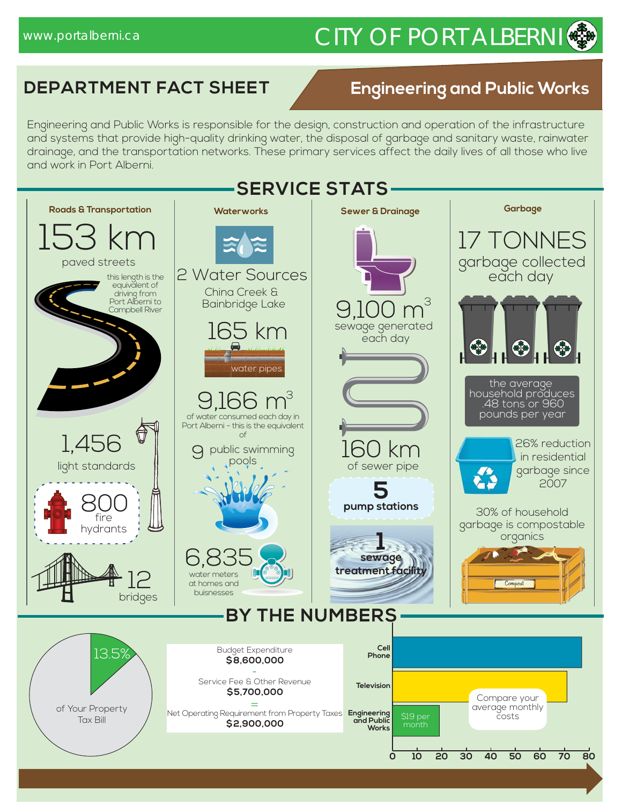## www.portalberni.ca CITY OF PORT ALBERNI

#### **DEPARTMENT FACT SHEET**

#### **Engineering and Public Works**

Engineering and Public Works is responsible for the design, construction and operation of the infrastructure and systems that provide high-quality drinking water, the disposal of garbage and sanitary waste, rainwater drainage, and the transportation networks. These primary services affect the daily lives of all those who live and work in Port Alberni.